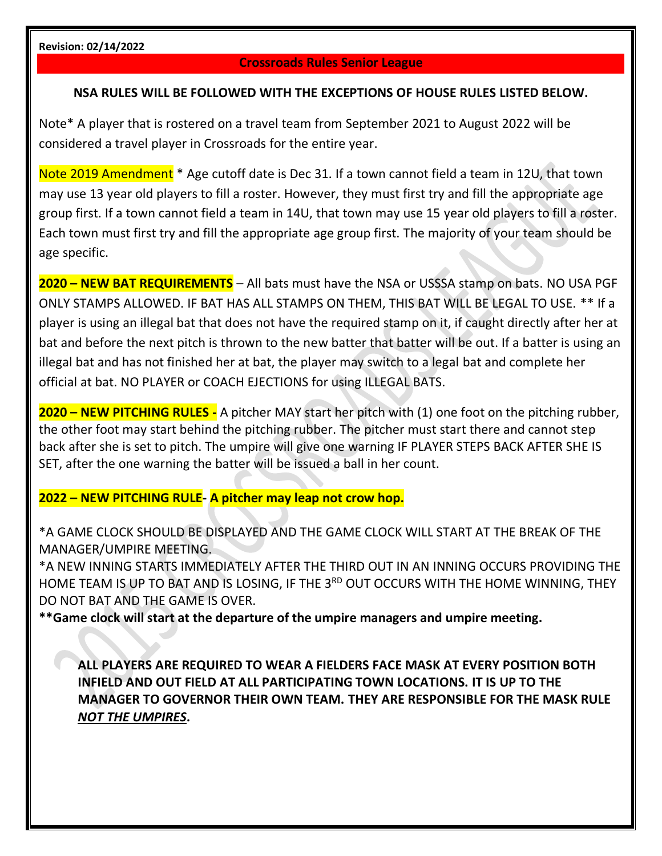#### **Crossroads Rules Senior League**

#### **NSA RULES WILL BE FOLLOWED WITH THE EXCEPTIONS OF HOUSE RULES LISTED BELOW.**

Note\* A player that is rostered on a travel team from September 2021 to August 2022 will be considered a travel player in Crossroads for the entire year.

Note 2019 Amendment \* Age cutoff date is Dec 31. If a town cannot field a team in 12U, that town may use 13 year old players to fill a roster. However, they must first try and fill the appropriate age group first. If a town cannot field a team in 14U, that town may use 15 year old players to fill a roster. Each town must first try and fill the appropriate age group first. The majority of your team should be age specific.

**2020 – NEW BAT REQUIREMENTS** – All bats must have the NSA or USSSA stamp on bats. NO USA PGF ONLY STAMPS ALLOWED. IF BAT HAS ALL STAMPS ON THEM, THIS BAT WILL BE LEGAL TO USE. \*\* If a player is using an illegal bat that does not have the required stamp on it, if caught directly after her at bat and before the next pitch is thrown to the new batter that batter will be out. If a batter is using an illegal bat and has not finished her at bat, the player may switch to a legal bat and complete her official at bat. NO PLAYER or COACH EJECTIONS for using ILLEGAL BATS.

**2020 – NEW PITCHING RULES -** A pitcher MAY start her pitch with (1) one foot on the pitching rubber, the other foot may start behind the pitching rubber. The pitcher must start there and cannot step back after she is set to pitch. The umpire will give one warning IF PLAYER STEPS BACK AFTER SHE IS SET, after the one warning the batter will be issued a ball in her count.

#### **2022 – NEW PITCHING RULE- A pitcher may leap not crow hop.**

\*A GAME CLOCK SHOULD BE DISPLAYED AND THE GAME CLOCK WILL START AT THE BREAK OF THE MANAGER/UMPIRE MEETING.

\*A NEW INNING STARTS IMMEDIATELY AFTER THE THIRD OUT IN AN INNING OCCURS PROVIDING THE HOME TEAM IS UP TO BAT AND IS LOSING, IF THE 3<sup>RD</sup> OUT OCCURS WITH THE HOME WINNING, THEY DO NOT BAT AND THE GAME IS OVER.

**\*\*Game clock will start at the departure of the umpire managers and umpire meeting.** 

**ALL PLAYERS ARE REQUIRED TO WEAR A FIELDERS FACE MASK AT EVERY POSITION BOTH INFIELD AND OUT FIELD AT ALL PARTICIPATING TOWN LOCATIONS. IT IS UP TO THE MANAGER TO GOVERNOR THEIR OWN TEAM. THEY ARE RESPONSIBLE FOR THE MASK RULE**  *NOT THE UMPIRES***.**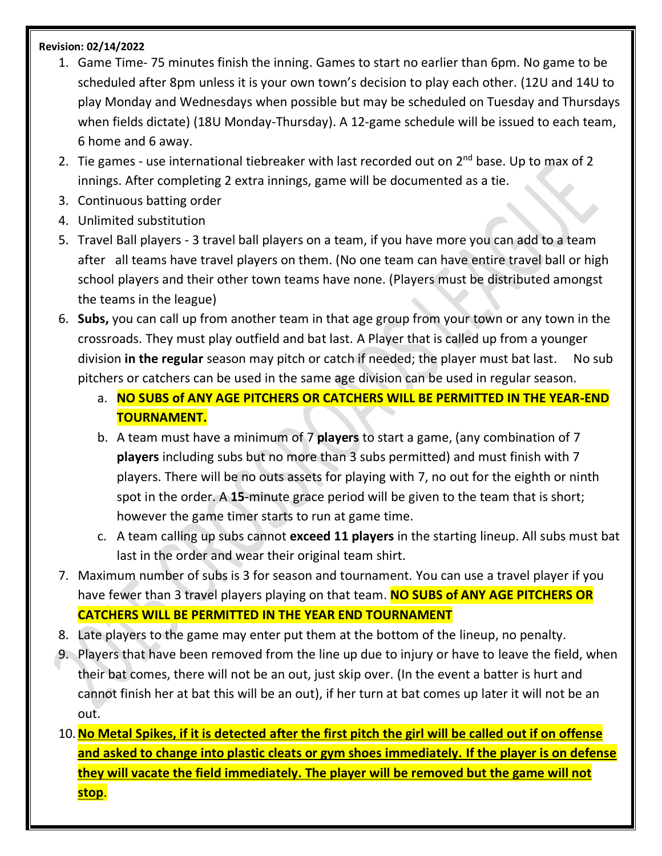- 1. Game Time- 75 minutes finish the inning. Games to start no earlier than 6pm. No game to be scheduled after 8pm unless it is your own town's decision to play each other. (12U and 14U to play Monday and Wednesdays when possible but may be scheduled on Tuesday and Thursdays when fields dictate) (18U Monday-Thursday). A 12-game schedule will be issued to each team, 6 home and 6 away.
- 2. Tie games use international tiebreaker with last recorded out on  $2^{nd}$  base. Up to max of 2 innings. After completing 2 extra innings, game will be documented as a tie.
- 3. Continuous batting order
- 4. Unlimited substitution
- 5. Travel Ball players 3 travel ball players on a team, if you have more you can add to a team after all teams have travel players on them. (No one team can have entire travel ball or high school players and their other town teams have none. (Players must be distributed amongst the teams in the league)
- 6. **Subs,** you can call up from another team in that age group from your town or any town in the crossroads. They must play outfield and bat last. A Player that is called up from a younger division **in the regular** season may pitch or catch if needed; the player must bat last. No sub pitchers or catchers can be used in the same age division can be used in regular season.
	- a. **NO SUBS of ANY AGE PITCHERS OR CATCHERS WILL BE PERMITTED IN THE YEAR-END TOURNAMENT.**
	- b. A team must have a minimum of 7 **players** to start a game, (any combination of 7 **players** including subs but no more than 3 subs permitted) and must finish with 7 players. There will be no outs assets for playing with 7, no out for the eighth or ninth spot in the order. A **15**-minute grace period will be given to the team that is short; however the game timer starts to run at game time.
	- c. A team calling up subs cannot **exceed 11 players** in the starting lineup. All subs must bat last in the order and wear their original team shirt.
- 7. Maximum number of subs is 3 for season and tournament. You can use a travel player if you have fewer than 3 travel players playing on that team. **NO SUBS of ANY AGE PITCHERS OR CATCHERS WILL BE PERMITTED IN THE YEAR END TOURNAMENT**
- 8. Late players to the game may enter put them at the bottom of the lineup, no penalty.
- 9. Players that have been removed from the line up due to injury or have to leave the field, when their bat comes, there will not be an out, just skip over. (In the event a batter is hurt and cannot finish her at bat this will be an out), if her turn at bat comes up later it will not be an out.
- 10.**No Metal Spikes, if it is detected after the first pitch the girl will be called out if on offense and asked to change into plastic cleats or gym shoes immediately. If the player is on defense they will vacate the field immediately. The player will be removed but the game will not stop**.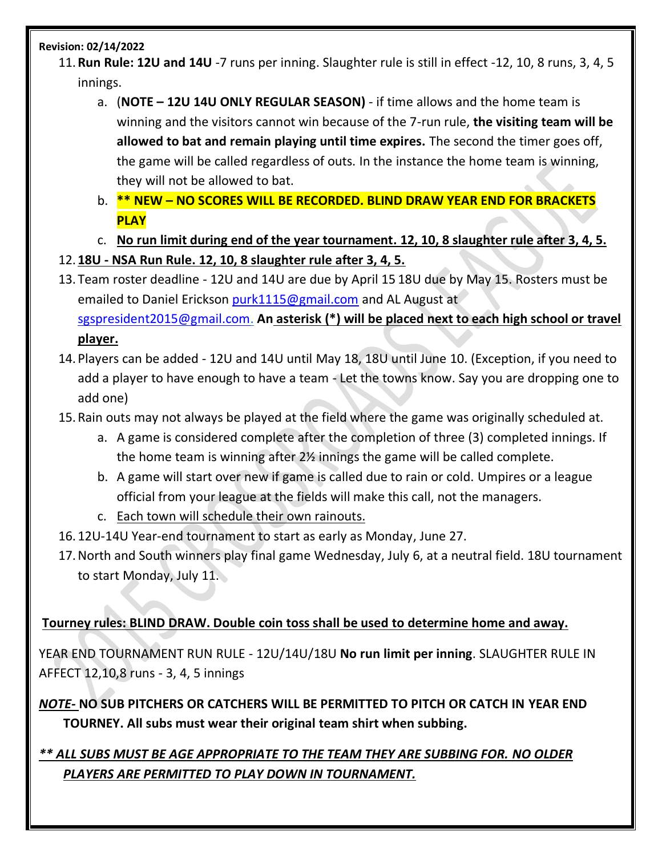- 11.**Run Rule: 12U and 14U** -7 runs per inning. Slaughter rule is still in effect -12, 10, 8 runs, 3, 4, 5 innings.
	- a. (**NOTE – 12U 14U ONLY REGULAR SEASON)**  if time allows and the home team is winning and the visitors cannot win because of the 7-run rule, **the visiting team will be allowed to bat and remain playing until time expires.** The second the timer goes off, the game will be called regardless of outs. In the instance the home team is winning, they will not be allowed to bat.
	- b. **\*\* NEW – NO SCORES WILL BE RECORDED. BLIND DRAW YEAR END FOR BRACKETS PLAY**
	- c. **No run limit during end of the year tournament. 12, 10, 8 slaughter rule after 3, 4, 5.**
- 12. **18U - NSA Run Rule. 12, 10, 8 slaughter rule after 3, 4, 5.**
- 13. Team roster deadline 12U and 14U are due by April 15 18U due by May 15. Rosters must be emailed to Daniel Erickson [purk1115@gmail.com](mailto:purk1115@gmail.com) and AL August at [sgspresident2015@gmail.com.](mailto:sgspresident2015@gmail.com) **An asterisk (\*) will be placed next to each high school or travel player.**
- 14. Players can be added 12U and 14U until May 18, 18U until June 10. (Exception, if you need to add a player to have enough to have a team - Let the towns know. Say you are dropping one to add one)
- 15.Rain outs may not always be played at the field where the game was originally scheduled at.
	- a. A game is considered complete after the completion of three (3) completed innings. If the home team is winning after 2½ innings the game will be called complete.
	- b. A game will start over new if game is called due to rain or cold. Umpires or a league official from your league at the fields will make this call, not the managers.
	- c. Each town will schedule their own rainouts.
- 16. 12U-14U Year-end tournament to start as early as Monday, June 27.
- 17.North and South winners play final game Wednesday, July 6, at a neutral field. 18U tournament to start Monday, July 11.

## **Tourney rules: BLIND DRAW. Double coin toss shall be used to determine home and away.**

YEAR END TOURNAMENT RUN RULE - 12U/14U/18U **No run limit per inning**. SLAUGHTER RULE IN AFFECT 12,10,8 runs - 3, 4, 5 innings

*NOTE-* **NO SUB PITCHERS OR CATCHERS WILL BE PERMITTED TO PITCH OR CATCH IN YEAR END TOURNEY. All subs must wear their original team shirt when subbing.** 

# *\*\* ALL SUBS MUST BE AGE APPROPRIATE TO THE TEAM THEY ARE SUBBING FOR. NO OLDER PLAYERS ARE PERMITTED TO PLAY DOWN IN TOURNAMENT.*